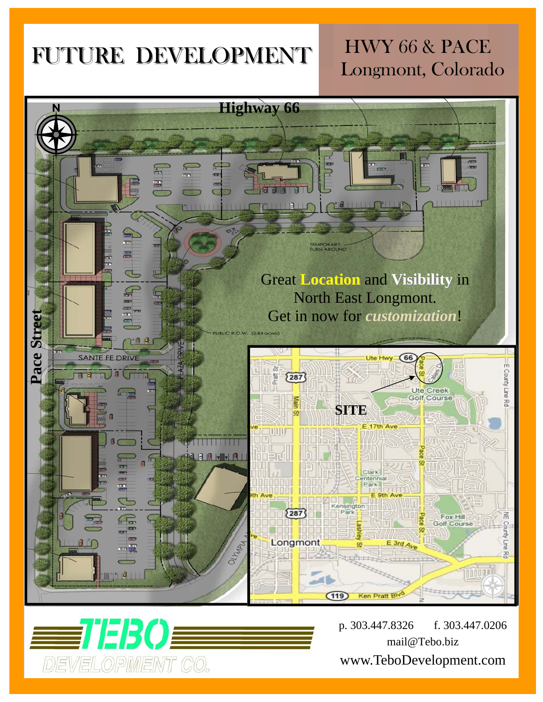## FUTURE DEVELOPMENT HWY 60 & PACE

# HWY 66 & PACE





p. 303.447.8326 f. 303.447.0206 mail@Tebo.biz www.TeboDevelopment.com